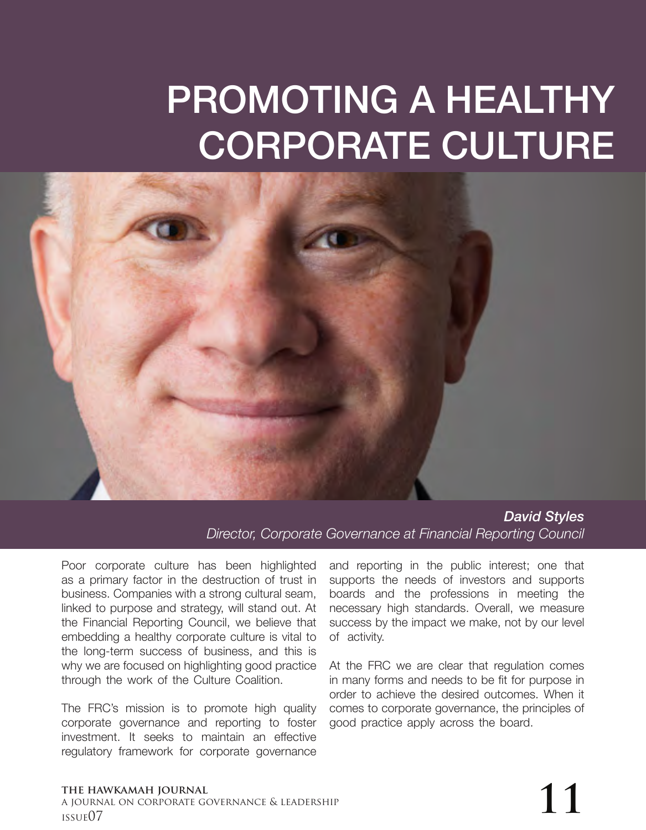## PROMOTING A HEALTHY CORPORATE CULTURE



*David Styles Director, Corporate Governance at Financial Reporting Council*

Poor corporate culture has been highlighted as a primary factor in the destruction of trust in business. Companies with a strong cultural seam, linked to purpose and strategy, will stand out. At the Financial Reporting Council, we believe that embedding a healthy corporate culture is vital to the long-term success of business, and this is why we are focused on highlighting good practice through the work of the Culture Coalition.

The FRC's mission is to promote high quality corporate governance and reporting to foster investment. It seeks to maintain an effective regulatory framework for corporate governance

and reporting in the public interest; one that supports the needs of investors and supports boards and the professions in meeting the necessary high standards. Overall, we measure success by the impact we make, not by our level of activity.

At the FRC we are clear that regulation comes in many forms and needs to be fit for purpose in order to achieve the desired outcomes. When it comes to corporate governance, the principles of good practice apply across the board.

## **the hawkamah journal** a journal on corporate governance & leadership The hawkamah journal<br>a journal on corporate governance & leadership<br>issue07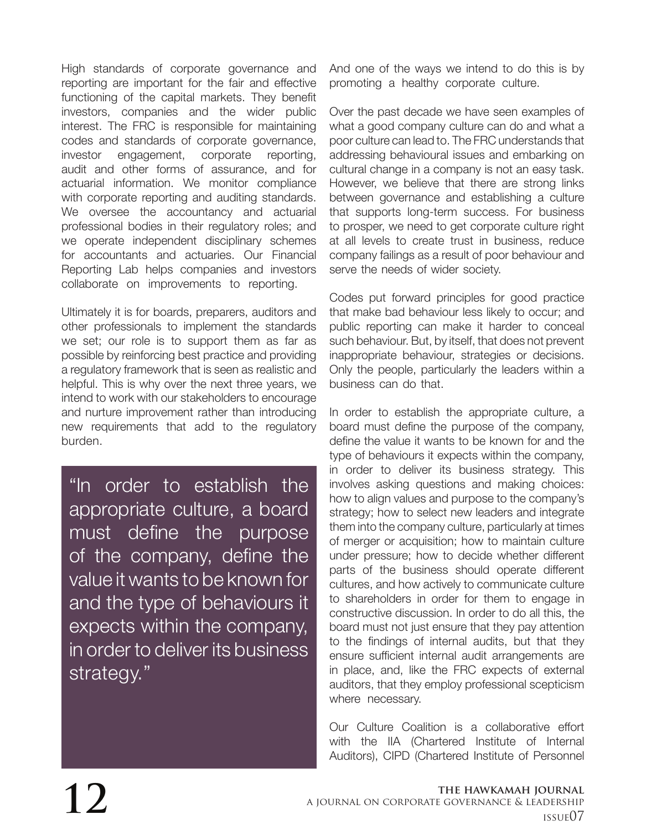High standards of corporate governance and reporting are important for the fair and effective functioning of the capital markets. They benefit investors, companies and the wider public interest. The FRC is responsible for maintaining codes and standards of corporate governance, investor engagement, corporate reporting, audit and other forms of assurance, and for actuarial information. We monitor compliance with corporate reporting and auditing standards. We oversee the accountancy and actuarial professional bodies in their regulatory roles; and we operate independent disciplinary schemes for accountants and actuaries. Our Financial Reporting Lab helps companies and investors collaborate on improvements to reporting.

Ultimately it is for boards, preparers, auditors and other professionals to implement the standards we set; our role is to support them as far as possible by reinforcing best practice and providing a regulatory framework that is seen as realistic and helpful. This is why over the next three years, we intend to work with our stakeholders to encourage and nurture improvement rather than introducing new requirements that add to the regulatory burden.

"In order to establish the appropriate culture, a board must define the purpose of the company, define the value it wants to be known for and the type of behaviours it expects within the company, in order to deliver its business strategy."

And one of the ways we intend to do this is by promoting a healthy corporate culture.

Over the past decade we have seen examples of what a good company culture can do and what a poor culture can lead to. The FRC understands that addressing behavioural issues and embarking on cultural change in a company is not an easy task. However, we believe that there are strong links between governance and establishing a culture that supports long-term success. For business to prosper, we need to get corporate culture right at all levels to create trust in business, reduce company failings as a result of poor behaviour and serve the needs of wider society.

Codes put forward principles for good practice that make bad behaviour less likely to occur; and public reporting can make it harder to conceal such behaviour. But, by itself, that does not prevent inappropriate behaviour, strategies or decisions. Only the people, particularly the leaders within a business can do that.

In order to establish the appropriate culture, a board must define the purpose of the company, define the value it wants to be known for and the type of behaviours it expects within the company, in order to deliver its business strategy. This involves asking questions and making choices: how to align values and purpose to the company's strategy; how to select new leaders and integrate them into the company culture, particularly at times of merger or acquisition; how to maintain culture under pressure; how to decide whether different parts of the business should operate different cultures, and how actively to communicate culture to shareholders in order for them to engage in constructive discussion. In order to do all this, the board must not just ensure that they pay attention to the findings of internal audits, but that they ensure sufficient internal audit arrangements are in place, and, like the FRC expects of external auditors, that they employ professional scepticism where necessary.

Our Culture Coalition is a collaborative effort with the IIA (Chartered Institute of Internal Auditors), CIPD (Chartered Institute of Personnel